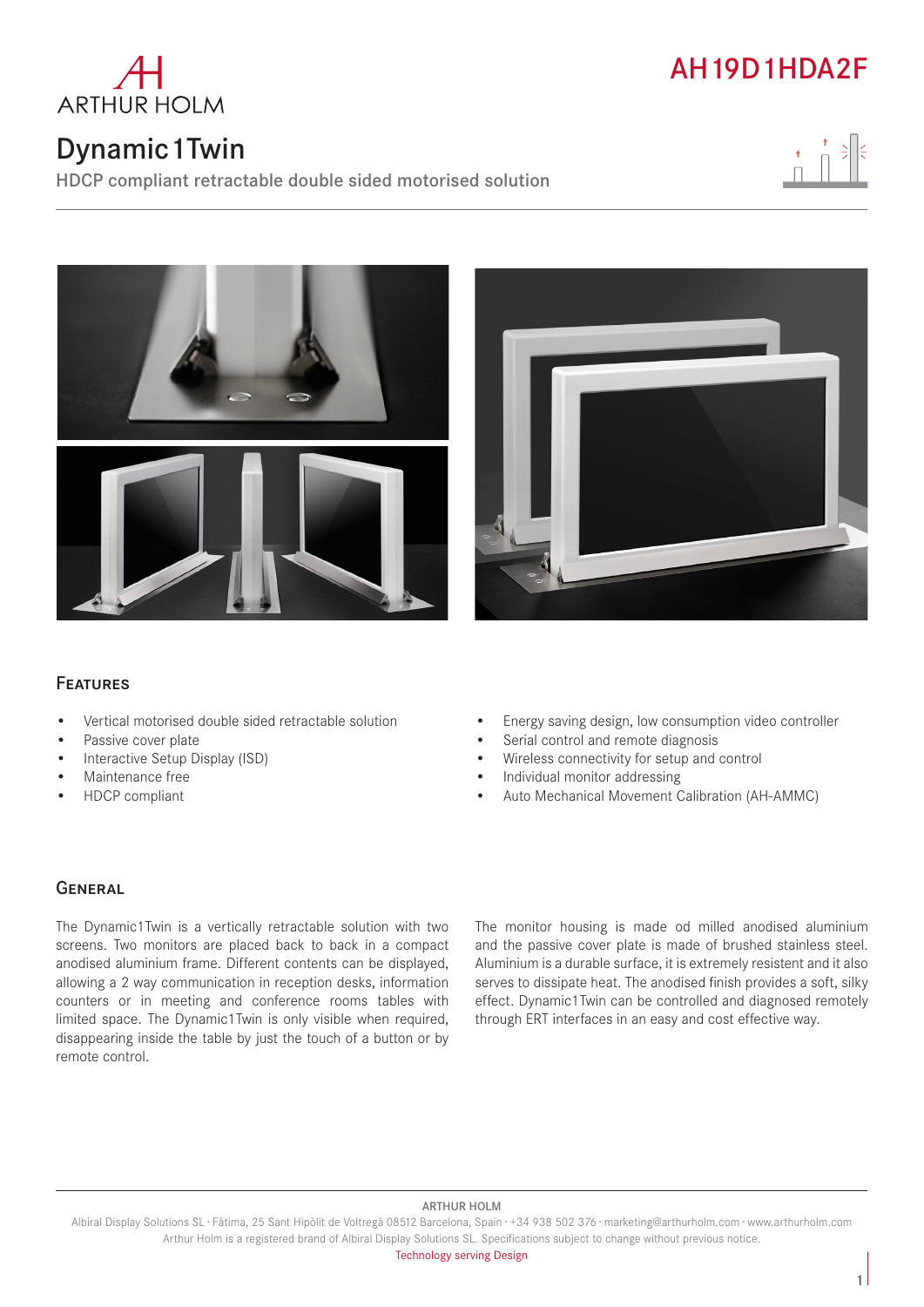

# Dynamic1Twin

HDCP compliant retractable double sided motorised solution









## Features

- Vertical motorised double sided retractable solution
- Passive cover plate
- Interactive Setup Display (ISD)
- Maintenance free
- HDCP compliant
- Energy saving design, low consumption video controller
- Serial control and remote diagnosis
- Wireless connectivity for setup and control
- Individual monitor addressing
- Auto Mechanical Movement Calibration (AH-AMMC)

### **GENERAL**

The Dynamic1Twin is a vertically retractable solution with two screens. Two monitors are placed back to back in a compact anodised aluminium frame. Different contents can be displayed, allowing a 2 way communication in reception desks, information counters or in meeting and conference rooms tables with limited space. The Dynamic1Twin is only visible when required, disappearing inside the table by just the touch of a button or by remote control.

The monitor housing is made od milled anodised aluminium and the passive cover plate is made of brushed stainless steel. Aluminium is a durable surface, it is extremely resistent and it also serves to dissipate heat. The anodised finish provides a soft, silky effect. Dynamic1Twin can be controlled and diagnosed remotely through ERT interfaces in an easy and cost effective way.

#### ARTHUR HOLM

Albiral Display Solutions SL · Fàtima, 25 Sant Hipòlit de Voltregà 08512 Barcelona, Spain · +34 938 502 376 · marketing@arthurholm.com · www.arthurholm.com Arthur Holm is a registered brand of Albiral Display Solutions SL. Specifications subject to change without previous notice.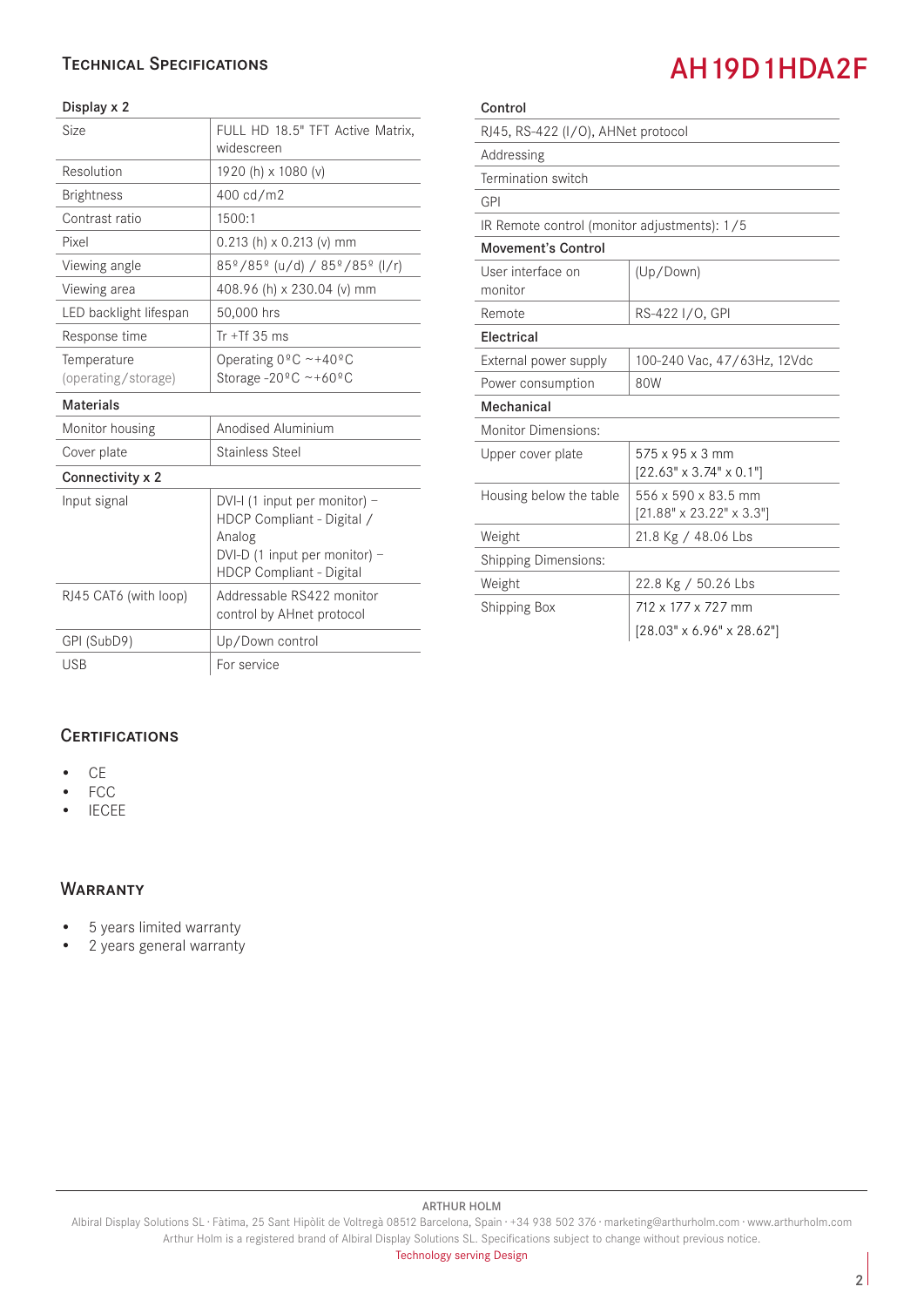### Technical Specifications

#### Display x 2

| Size                               | FULL HD 18.5" TFT Active Matrix,<br>widescreen                                                                                            |
|------------------------------------|-------------------------------------------------------------------------------------------------------------------------------------------|
| Resolution                         | 1920 (h) x 1080 (v)                                                                                                                       |
| <b>Brightness</b>                  | 400 cd/m2                                                                                                                                 |
| Contrast ratio                     | 1500:1                                                                                                                                    |
| Pixel                              | $0.213$ (h) x 0.213 (v) mm                                                                                                                |
| Viewing angle                      | 85 <sup>°</sup> /85 <sup>°</sup> (u/d) / 85 <sup>°</sup> /85 <sup>°</sup> (l/r)                                                           |
| Viewing area                       | 408.96 (h) x 230.04 (v) mm                                                                                                                |
| LED backlight lifespan             | 50,000 hrs                                                                                                                                |
| Response time                      | Tr $+Tf$ 35 ms                                                                                                                            |
| Temperature<br>(operating/storage) | Operating $0^{\circ}$ C ~+40°C<br>Storage -20 $^{\circ}$ C ~+60 $^{\circ}$ C                                                              |
| <b>Materials</b>                   |                                                                                                                                           |
| Monitor housing                    | Anodised Aluminium                                                                                                                        |
| Cover plate                        | Stainless Steel                                                                                                                           |
| Connectivity x 2                   |                                                                                                                                           |
| Input signal                       | DVI-I (1 input per monitor) -<br>HDCP Compliant - Digital /<br>Analog<br>DVI-D (1 input per monitor) -<br><b>HDCP Compliant - Digital</b> |
| RJ45 CAT6 (with loop)              | Addressable RS422 monitor<br>control by AHnet protocol                                                                                    |
| GPI (SubD9)                        | Up/Down control                                                                                                                           |
| <b>USB</b>                         | For service                                                                                                                               |

| Control                                      |                                                             |  |
|----------------------------------------------|-------------------------------------------------------------|--|
| RJ45, RS-422 (I/O), AHNet protocol           |                                                             |  |
| Addressing                                   |                                                             |  |
| Termination switch                           |                                                             |  |
| GPI                                          |                                                             |  |
| IR Remote control (monitor adjustments): 1/5 |                                                             |  |
| <b>Movement's Control</b>                    |                                                             |  |
| User interface on<br>monitor                 | (Up/Down)                                                   |  |
| Remote                                       | RS-422 I/O, GPI                                             |  |
| Electrical                                   |                                                             |  |
| External power supply                        | 100-240 Vac, 47/63Hz, 12Vdc                                 |  |
| Power consumption                            | 80W                                                         |  |
| Mechanical                                   |                                                             |  |
| Monitor Dimensions:                          |                                                             |  |
| Upper cover plate                            | 575 x 95 x 3 mm<br>$[22.63" \times 3.74" \times 0.1"]$      |  |
| Housing below the table                      | 556 x 590 x 83.5 mm<br>$[21.88" \times 23.22" \times 3.3"]$ |  |
| Weight                                       | 21.8 Kg / 48.06 Lbs                                         |  |
| <b>Shipping Dimensions:</b>                  |                                                             |  |
| Weight                                       | 22.8 Kg / 50.26 Lbs                                         |  |
| Shipping Box                                 | 712 x 177 x 727 mm                                          |  |
|                                              | $[28.03" \times 6.96" \times 28.62"]$                       |  |

**CERTIFICATIONS** 

- CE
- FCC
- IECEE

#### **WARRANTY**

- 5 years limited warranty
- 2 years general warranty

#### ARTHUR HOLM

Albiral Display Solutions SL · Fàtima, 25 Sant Hipòlit de Voltregà 08512 Barcelona, Spain · +34 938 502 376 · marketing@arthurholm.com · www.arthurholm.com Arthur Holm is a registered brand of Albiral Display Solutions SL. Specifications subject to change without previous notice.

# AH19D1HDA2F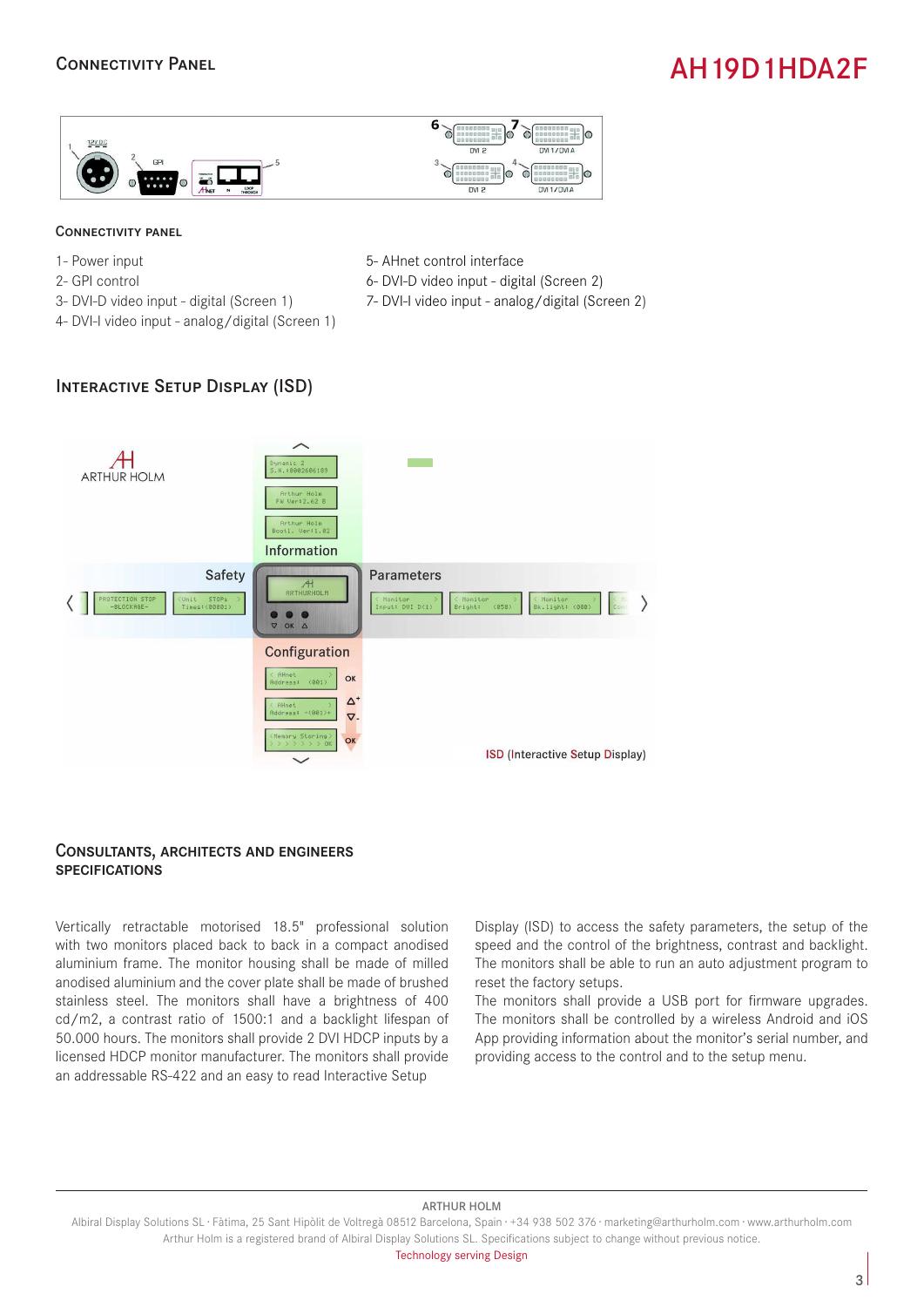### Connectivity Panel

# AH19D1HDA2F



#### Connectivity panel

- 1- Power input
- 2- GPI control
- 3- DVI-D video input digital (Screen 1)
- 4- DVI-I video input analog/digital (Screen 1)
- 5- AHnet control interface
- 6- DVI-D video input digital (Screen 2)
- 7- DVI-I video input analog/digital (Screen 2)

### Interactive Setup Display (ISD)



#### Consultants, architects and engineers **SPECIFICATIONS**

Vertically retractable motorised 18.5" professional solution with two monitors placed back to back in a compact anodised aluminium frame. The monitor housing shall be made of milled anodised aluminium and the cover plate shall be made of brushed stainless steel. The monitors shall have a brightness of 400 cd/m2, a contrast ratio of 1500:1 and a backlight lifespan of 50.000 hours. The monitors shall provide 2 DVI HDCP inputs by a licensed HDCP monitor manufacturer. The monitors shall provide an addressable RS-422 and an easy to read Interactive Setup

Display (ISD) to access the safety parameters, the setup of the speed and the control of the brightness, contrast and backlight. The monitors shall be able to run an auto adjustment program to reset the factory setups.

The monitors shall provide a USB port for firmware upgrades. The monitors shall be controlled by a wireless Android and iOS App providing information about the monitor's serial number, and providing access to the control and to the setup menu.

#### ARTHUR HOLM

Technology serving Design

Albiral Display Solutions SL · Fàtima, 25 Sant Hipòlit de Voltregà 08512 Barcelona, Spain · +34 938 502 376 · marketing@arthurholm.com · www.arthurholm.com Arthur Holm is a registered brand of Albiral Display Solutions SL. Specifications subject to change without previous notice.